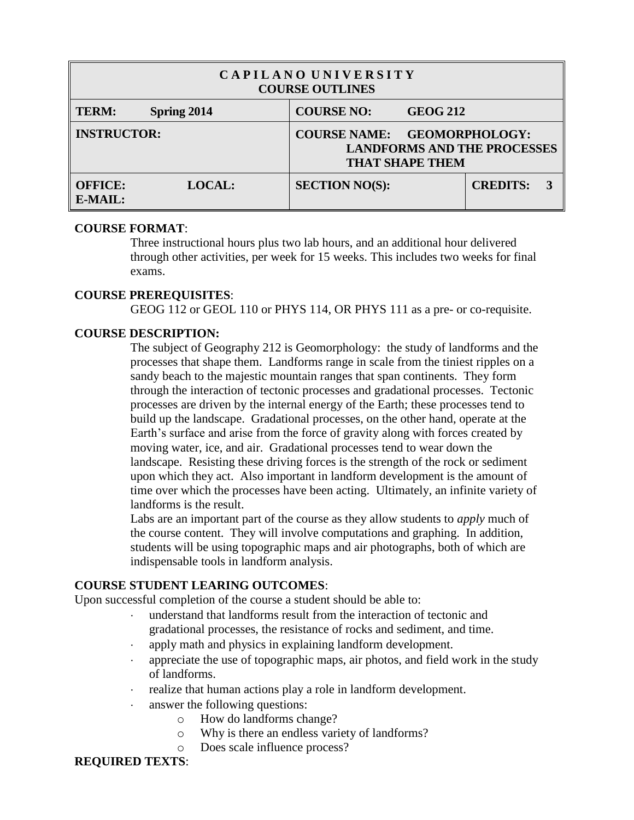| CAPILANO UNIVERSITY<br><b>COURSE OUTLINES</b> |               |                                                                                                              |                 |  |  |
|-----------------------------------------------|---------------|--------------------------------------------------------------------------------------------------------------|-----------------|--|--|
| TERM:                                         | Spring 2014   | <b>COURSE NO:</b><br><b>GEOG 212</b>                                                                         |                 |  |  |
| <b>INSTRUCTOR:</b>                            |               | <b>GEOMORPHOLOGY:</b><br><b>COURSE NAME:</b><br><b>LANDFORMS AND THE PROCESSES</b><br><b>THAT SHAPE THEM</b> |                 |  |  |
| <b>OFFICE:</b><br>E-MAIL:                     | <b>LOCAL:</b> | <b>SECTION NO(S):</b>                                                                                        | <b>CREDITS:</b> |  |  |

# **COURSE FORMAT**:

Three instructional hours plus two lab hours, and an additional hour delivered through other activities, per week for 15 weeks. This includes two weeks for final exams.

# **COURSE PREREQUISITES**:

GEOG 112 or GEOL 110 or PHYS 114, OR PHYS 111 as a pre- or co-requisite.

# **COURSE DESCRIPTION:**

The subject of Geography 212 is Geomorphology: the study of landforms and the processes that shape them. Landforms range in scale from the tiniest ripples on a sandy beach to the majestic mountain ranges that span continents. They form through the interaction of tectonic processes and gradational processes. Tectonic processes are driven by the internal energy of the Earth; these processes tend to build up the landscape. Gradational processes, on the other hand, operate at the Earth's surface and arise from the force of gravity along with forces created by moving water, ice, and air. Gradational processes tend to wear down the landscape. Resisting these driving forces is the strength of the rock or sediment upon which they act. Also important in landform development is the amount of time over which the processes have been acting. Ultimately, an infinite variety of landforms is the result.

Labs are an important part of the course as they allow students to *apply* much of the course content. They will involve computations and graphing. In addition, students will be using topographic maps and air photographs, both of which are indispensable tools in landform analysis.

# **COURSE STUDENT LEARING OUTCOMES**:

Upon successful completion of the course a student should be able to:

- understand that landforms result from the interaction of tectonic and gradational processes, the resistance of rocks and sediment, and time.
- apply math and physics in explaining landform development.
- appreciate the use of topographic maps, air photos, and field work in the study of landforms.
- realize that human actions play a role in landform development.
- answer the following questions:
	- o How do landforms change?
	- o Why is there an endless variety of landforms?
	- o Does scale influence process?

# **REQUIRED TEXTS**: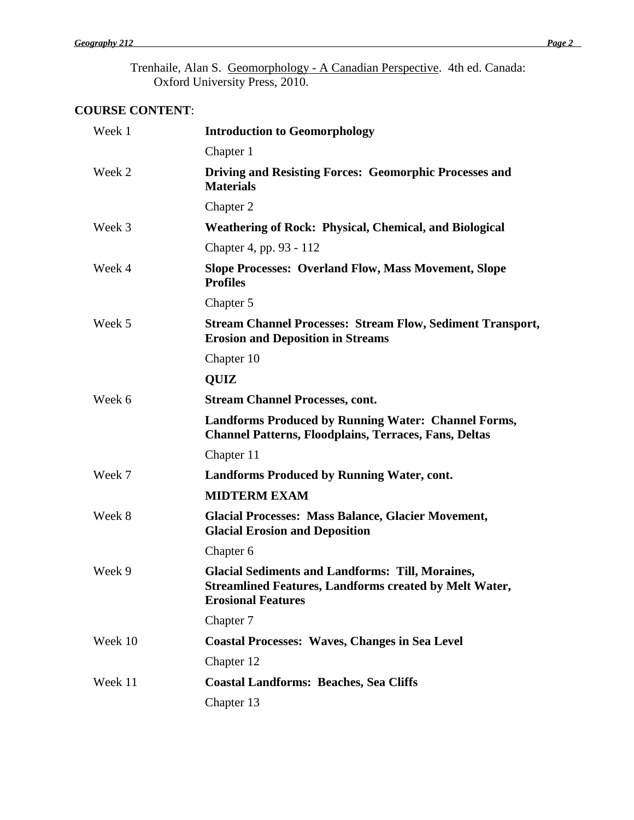Trenhaile, Alan S. Geomorphology - A Canadian Perspective. 4th ed. Canada: Oxford University Press, 2010.

# **COURSE CONTENT**:

| Week 1  | <b>Introduction to Geomorphology</b>                                                                                                                  |
|---------|-------------------------------------------------------------------------------------------------------------------------------------------------------|
|         | Chapter 1                                                                                                                                             |
| Week 2  | <b>Driving and Resisting Forces: Geomorphic Processes and</b><br><b>Materials</b>                                                                     |
|         | Chapter 2                                                                                                                                             |
| Week 3  | <b>Weathering of Rock: Physical, Chemical, and Biological</b>                                                                                         |
|         | Chapter 4, pp. 93 - 112                                                                                                                               |
| Week 4  | <b>Slope Processes: Overland Flow, Mass Movement, Slope</b><br><b>Profiles</b>                                                                        |
|         | Chapter 5                                                                                                                                             |
| Week 5  | <b>Stream Channel Processes: Stream Flow, Sediment Transport,</b><br><b>Erosion and Deposition in Streams</b>                                         |
|         | Chapter 10                                                                                                                                            |
|         | <b>QUIZ</b>                                                                                                                                           |
| Week 6  | <b>Stream Channel Processes, cont.</b>                                                                                                                |
|         | <b>Landforms Produced by Running Water: Channel Forms,</b><br><b>Channel Patterns, Floodplains, Terraces, Fans, Deltas</b>                            |
|         | Chapter 11                                                                                                                                            |
| Week 7  | <b>Landforms Produced by Running Water, cont.</b>                                                                                                     |
|         | <b>MIDTERM EXAM</b>                                                                                                                                   |
| Week 8  | <b>Glacial Processes: Mass Balance, Glacier Movement,</b><br><b>Glacial Erosion and Deposition</b>                                                    |
|         | Chapter 6                                                                                                                                             |
| Week 9  | <b>Glacial Sediments and Landforms: Till, Moraines,</b><br><b>Streamlined Features, Landforms created by Melt Water,</b><br><b>Erosional Features</b> |
|         | Chapter 7                                                                                                                                             |
| Week 10 | <b>Coastal Processes: Waves, Changes in Sea Level</b>                                                                                                 |
|         | Chapter 12                                                                                                                                            |
| Week 11 | <b>Coastal Landforms: Beaches, Sea Cliffs</b>                                                                                                         |
|         | Chapter 13                                                                                                                                            |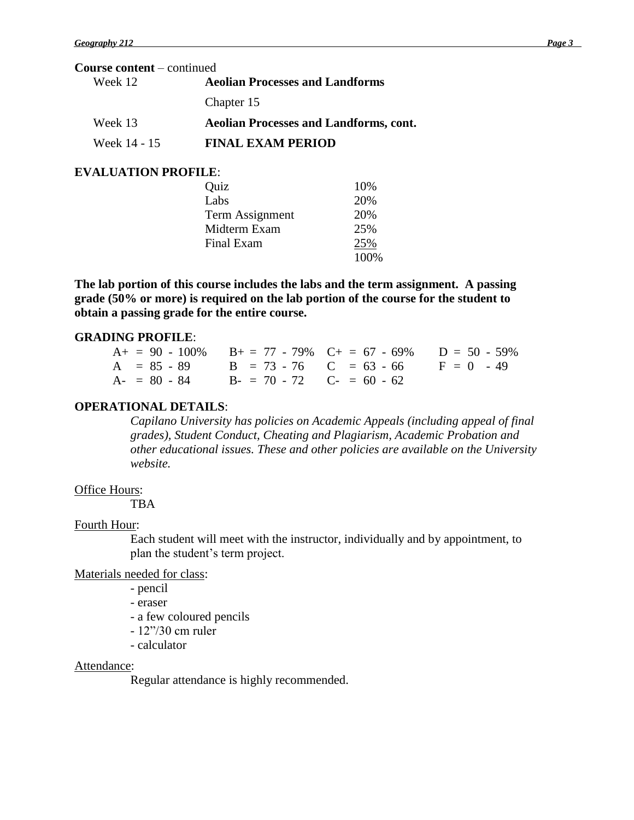#### **Course content** – continued

| Week 12      | <b>Aeolian Processes and Landforms</b>        |  |  |
|--------------|-----------------------------------------------|--|--|
|              | Chapter 15                                    |  |  |
| Week 13      | <b>Aeolian Processes and Landforms, cont.</b> |  |  |
| Week 14 - 15 | <b>FINAL EXAM PERIOD</b>                      |  |  |

## **EVALUATION PROFILE**:

| Quiz            | 10%  |
|-----------------|------|
| Labs            | 20%  |
| Term Assignment | 20%  |
| Midterm Exam    | 25%  |
| Final Exam      | 25%  |
|                 | 100% |

**The lab portion of this course includes the labs and the term assignment. A passing grade (50% or more) is required on the lab portion of the course for the student to obtain a passing grade for the entire course.**

## **GRADING PROFILE**:

| $A_+ = 90 - 100\%$ $B_+ = 77 - 79\%$ $C_+ = 67 - 69\%$ $D = 50 - 59\%$ |  |  |
|------------------------------------------------------------------------|--|--|
| $A = 85 - 89$ $B = 73 - 76$ $C = 63 - 66$ $F = 0$ $-49$                |  |  |
| $A = 80 - 84$ $B = 70 - 72$ $C = 60 - 62$                              |  |  |

## **OPERATIONAL DETAILS**:

*Capilano University has policies on Academic Appeals (including appeal of final grades), Student Conduct, Cheating and Plagiarism, Academic Probation and other educational issues. These and other policies are available on the University website.*

#### Office Hours:

TBA

## Fourth Hour:

Each student will meet with the instructor, individually and by appointment, to plan the student's term project.

Materials needed for class:

- pencil
- eraser
- a few coloured pencils
- 12"/30 cm ruler
- calculator

Attendance:

Regular attendance is highly recommended.